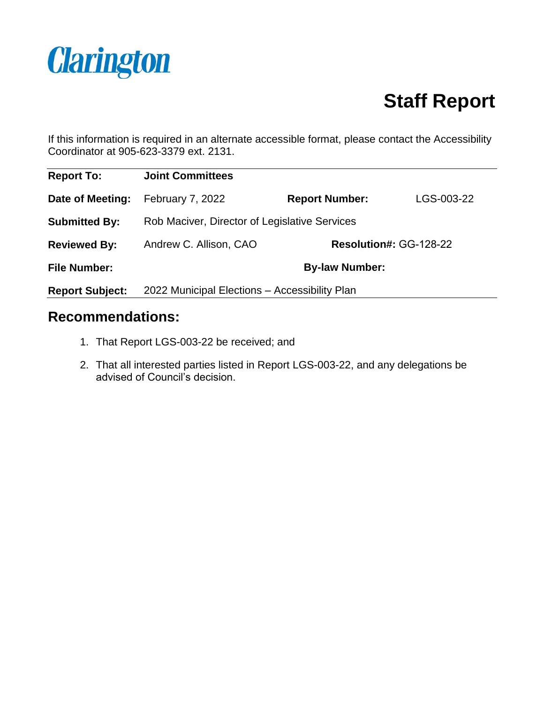

# **Staff Report**

If this information is required in an alternate accessible format, please contact the Accessibility Coordinator at 905-623-3379 ext. 2131.

| <b>Report To:</b>      | <b>Joint Committees</b>                       |                        |            |
|------------------------|-----------------------------------------------|------------------------|------------|
| Date of Meeting:       | <b>February 7, 2022</b>                       | <b>Report Number:</b>  | LGS-003-22 |
| <b>Submitted By:</b>   | Rob Maciver, Director of Legislative Services |                        |            |
| <b>Reviewed By:</b>    | Andrew C. Allison, CAO                        | Resolution#: GG-128-22 |            |
| <b>File Number:</b>    | <b>By-law Number:</b>                         |                        |            |
| <b>Report Subject:</b> | 2022 Municipal Elections - Accessibility Plan |                        |            |

#### **Recommendations:**

- 1. That Report LGS-003-22 be received; and
- 2. That all interested parties listed in Report LGS-003-22, and any delegations be advised of Council's decision.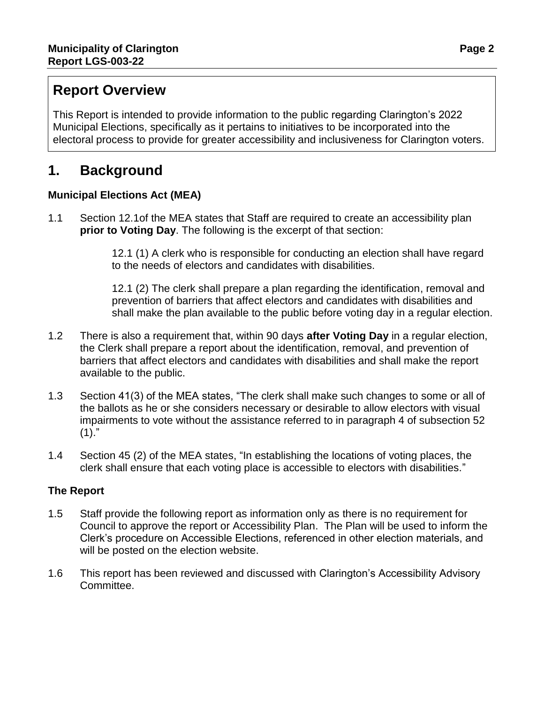### **Report Overview**

This Report is intended to provide information to the public regarding Clarington's 2022 Municipal Elections, specifically as it pertains to initiatives to be incorporated into the electoral process to provide for greater accessibility and inclusiveness for Clarington voters.

### **1. Background**

#### **Municipal Elections Act (MEA)**

1.1 Section 12.1of the MEA states that Staff are required to create an accessibility plan **prior to Voting Day**. The following is the excerpt of that section:

> 12.1 (1) A clerk who is responsible for conducting an election shall have regard to the needs of electors and candidates with disabilities.

12.1 (2) The clerk shall prepare a plan regarding the identification, removal and prevention of barriers that affect electors and candidates with disabilities and shall make the plan available to the public before voting day in a regular election.

- 1.2 There is also a requirement that, within 90 days **after Voting Day** in a regular election, the Clerk shall prepare a report about the identification, removal, and prevention of barriers that affect electors and candidates with disabilities and shall make the report available to the public.
- 1.3 Section 41(3) of the MEA states, "The clerk shall make such changes to some or all of the ballots as he or she considers necessary or desirable to allow electors with visual impairments to vote without the assistance referred to in paragraph 4 of subsection 52  $(1).$ "
- 1.4 Section 45 (2) of the MEA states, "In establishing the locations of voting places, the clerk shall ensure that each voting place is accessible to electors with disabilities."

#### **The Report**

- 1.5 Staff provide the following report as information only as there is no requirement for Council to approve the report or Accessibility Plan. The Plan will be used to inform the Clerk's procedure on Accessible Elections, referenced in other election materials, and will be posted on the election website.
- 1.6 This report has been reviewed and discussed with Clarington's Accessibility Advisory Committee.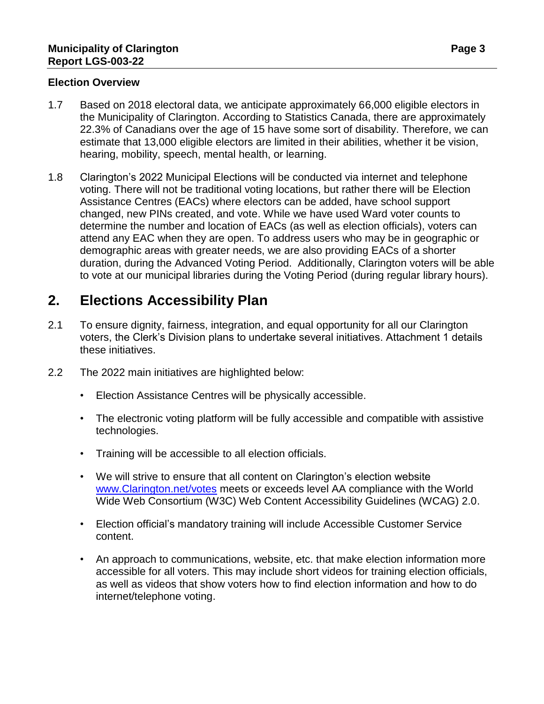#### **Election Overview**

- 1.7 Based on 2018 electoral data, we anticipate approximately 66,000 eligible electors in the Municipality of Clarington. According to Statistics Canada, there are approximately 22.3% of Canadians over the age of 15 have some sort of disability. Therefore, we can estimate that 13,000 eligible electors are limited in their abilities, whether it be vision, hearing, mobility, speech, mental health, or learning.
- 1.8 Clarington's 2022 Municipal Elections will be conducted via internet and telephone voting. There will not be traditional voting locations, but rather there will be Election Assistance Centres (EACs) where electors can be added, have school support changed, new PINs created, and vote. While we have used Ward voter counts to determine the number and location of EACs (as well as election officials), voters can attend any EAC when they are open. To address users who may be in geographic or demographic areas with greater needs, we are also providing EACs of a shorter duration, during the Advanced Voting Period. Additionally, Clarington voters will be able to vote at our municipal libraries during the Voting Period (during regular library hours).

### **2. Elections Accessibility Plan**

- 2.1 To ensure dignity, fairness, integration, and equal opportunity for all our Clarington voters, the Clerk's Division plans to undertake several initiatives. Attachment 1 details these initiatives.
- 2.2 The 2022 main initiatives are highlighted below:
	- Election Assistance Centres will be physically accessible.
	- The electronic voting platform will be fully accessible and compatible with assistive technologies.
	- Training will be accessible to all election officials.
	- We will strive to ensure that all content on Clarington's election website [www.Clarington.net/votes](http://www.clarington.net/votes) meets or exceeds level AA compliance with the World Wide Web Consortium (W3C) Web Content Accessibility Guidelines (WCAG) 2.0.
	- Election official's mandatory training will include Accessible Customer Service content.
	- An approach to communications, website, etc. that make election information more accessible for all voters. This may include short videos for training election officials, as well as videos that show voters how to find election information and how to do internet/telephone voting.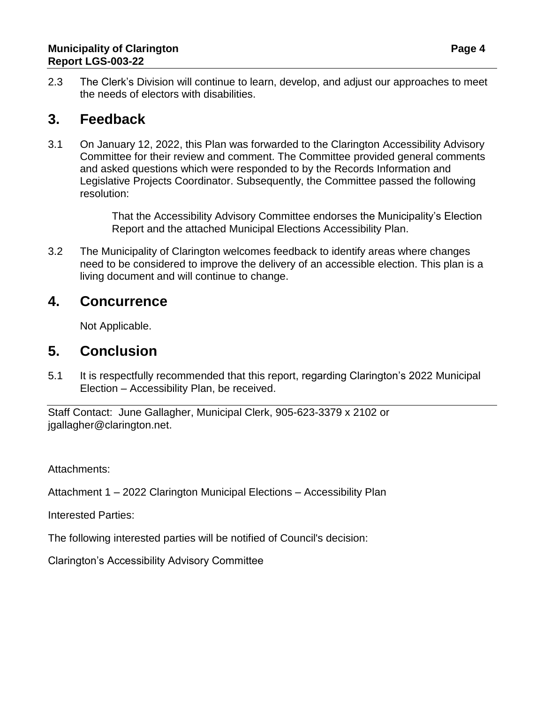2.3 The Clerk's Division will continue to learn, develop, and adjust our approaches to meet the needs of electors with disabilities.

### **3. Feedback**

3.1 On January 12, 2022, this Plan was forwarded to the Clarington Accessibility Advisory Committee for their review and comment. The Committee provided general comments and asked questions which were responded to by the Records Information and Legislative Projects Coordinator. Subsequently, the Committee passed the following resolution:

> That the Accessibility Advisory Committee endorses the Municipality's Election Report and the attached Municipal Elections Accessibility Plan.

3.2 The Municipality of Clarington welcomes feedback to identify areas where changes need to be considered to improve the delivery of an accessible election. This plan is a living document and will continue to change.

### **4. Concurrence**

Not Applicable.

### **5. Conclusion**

5.1 It is respectfully recommended that this report, regarding Clarington's 2022 Municipal Election – Accessibility Plan, be received.

Staff Contact: June Gallagher, Municipal Clerk, 905-623-3379 x 2102 or jgallagher@clarington.net.

Attachments:

Attachment 1 – 2022 Clarington Municipal Elections – Accessibility Plan

Interested Parties:

The following interested parties will be notified of Council's decision:

Clarington's Accessibility Advisory Committee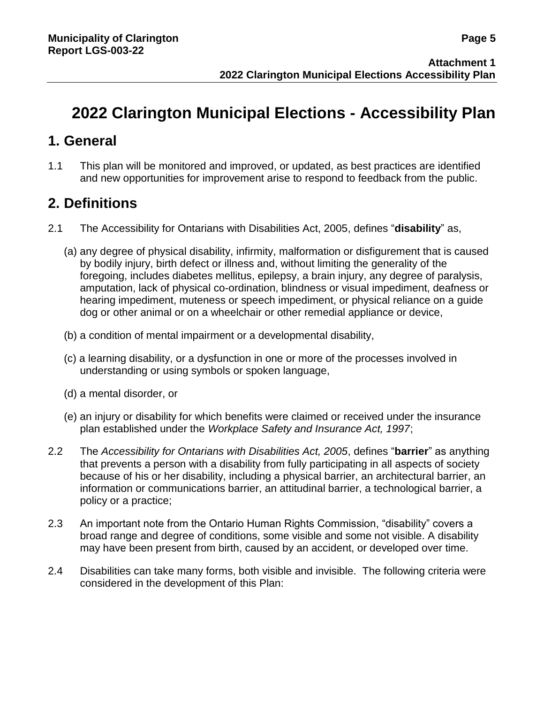## **2022 Clarington Municipal Elections - Accessibility Plan**

### **1. General**

1.1 This plan will be monitored and improved, or updated, as best practices are identified and new opportunities for improvement arise to respond to feedback from the public.

### **2. Definitions**

- 2.1 The Accessibility for Ontarians with Disabilities Act, 2005, defines "**disability**" as,
	- (a) any degree of physical disability, infirmity, malformation or disfigurement that is caused by bodily injury, birth defect or illness and, without limiting the generality of the foregoing, includes diabetes mellitus, epilepsy, a brain injury, any degree of paralysis, amputation, lack of physical co-ordination, blindness or visual impediment, deafness or hearing impediment, muteness or speech impediment, or physical reliance on a guide dog or other animal or on a wheelchair or other remedial appliance or device,
	- (b) a condition of mental impairment or a developmental disability,
	- (c) a learning disability, or a dysfunction in one or more of the processes involved in understanding or using symbols or spoken language,
	- (d) a mental disorder, or
	- (e) an injury or disability for which benefits were claimed or received under the insurance plan established under the *Workplace Safety and Insurance Act, 1997*;
- 2.2 The *Accessibility for Ontarians with Disabilities Act, 2005*, defines "**barrier**" as anything that prevents a person with a disability from fully participating in all aspects of society because of his or her disability, including a physical barrier, an architectural barrier, an information or communications barrier, an attitudinal barrier, a technological barrier, a policy or a practice;
- 2.3 An important note from the Ontario Human Rights Commission, "disability" covers a broad range and degree of conditions, some visible and some not visible. A disability may have been present from birth, caused by an accident, or developed over time.
- 2.4 Disabilities can take many forms, both visible and invisible. The following criteria were considered in the development of this Plan: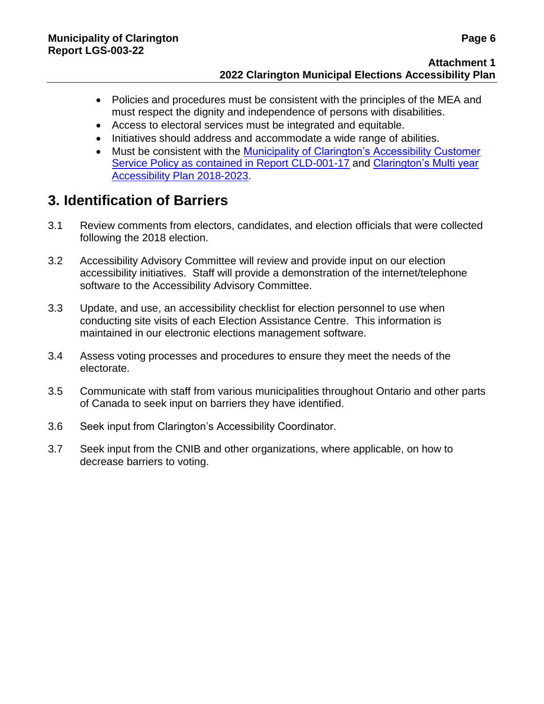- Policies and procedures must be consistent with the principles of the MEA and must respect the dignity and independence of persons with disabilities.
- Access to electoral services must be integrated and equitable.
- Initiatives should address and accommodate a wide range of abilities.
- Must be consistent with the [Municipality of Clarington's Accessibility Customer](https://weblink.clarington.net/WebLink/0/edoc/99850/CLD-001-17.pdf)  [Service Policy as contained in Report CLD-001-17](https://weblink.clarington.net/WebLink/0/edoc/99850/CLD-001-17.pdf) and [Clarington's Multi year](https://www.clarington.net/en/town-hall/resources/Accessibility/Multi-Year-Accessibility-Plan-2018-2023-AODA.pdf)  [Accessibility Plan 2018-2023.](https://www.clarington.net/en/town-hall/resources/Accessibility/Multi-Year-Accessibility-Plan-2018-2023-AODA.pdf)

### **3. Identification of Barriers**

- 3.1 Review comments from electors, candidates, and election officials that were collected following the 2018 election.
- 3.2 Accessibility Advisory Committee will review and provide input on our election accessibility initiatives. Staff will provide a demonstration of the internet/telephone software to the Accessibility Advisory Committee.
- 3.3 Update, and use, an accessibility checklist for election personnel to use when conducting site visits of each Election Assistance Centre. This information is maintained in our electronic elections management software.
- 3.4 Assess voting processes and procedures to ensure they meet the needs of the electorate.
- 3.5 Communicate with staff from various municipalities throughout Ontario and other parts of Canada to seek input on barriers they have identified.
- 3.6 Seek input from Clarington's Accessibility Coordinator.
- 3.7 Seek input from the CNIB and other organizations, where applicable, on how to decrease barriers to voting.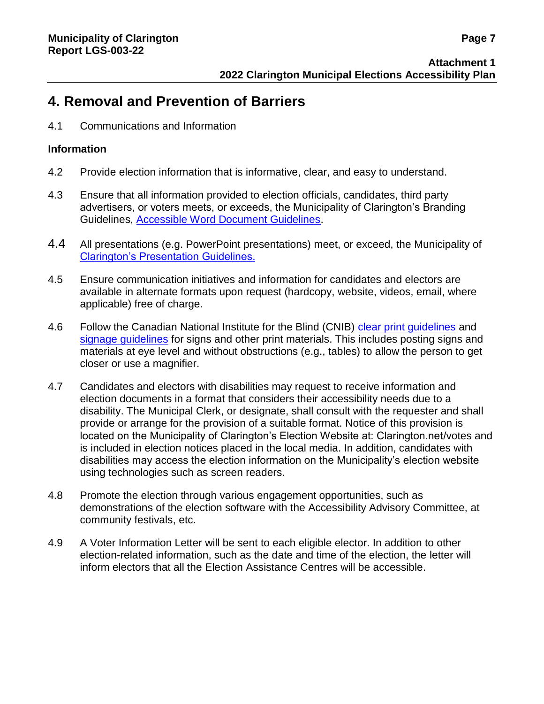### **4. Removal and Prevention of Barriers**

4.1 Communications and Information

#### **Information**

- 4.2 Provide election information that is informative, clear, and easy to understand.
- 4.3 Ensure that all information provided to election officials, candidates, third party advertisers, or voters meets, or exceeds, the Municipality of Clarington's Branding Guidelines, [Accessible Word Document Guidelines.](https://www.clarington.net/en/town-hall/resources/Accessibility/Clarington-Accessible-Word-Document-Guidelines-AODA.pdf)
- 4.4 All presentations (e.g. PowerPoint presentations) meet, or exceed, the Municipality of [Clarington's Presentation Guidelines.](https://www.clarington.net/en/town-hall/resources/Accessibility/Accessible-Presentation-Guidelines-AODA.pdf)
- 4.5 Ensure communication initiatives and information for candidates and electors are available in alternate formats upon request (hardcopy, website, videos, email, where applicable) free of charge.
- 4.6 Follow the Canadian National Institute for the Blind (CNIB) clear [print guidelines](https://cnib.ca/sites/default/files/2018-07/CNIB%20Clear%20Print%20Guide.pdf) and [signage guidelines](https://www.clearingourpath.ca/3.7.0-signage_e.php) for signs and other print materials. This includes posting signs and materials at eye level and without obstructions (e.g., tables) to allow the person to get closer or use a magnifier.
- 4.7 Candidates and electors with disabilities may request to receive information and election documents in a format that considers their accessibility needs due to a disability. The Municipal Clerk, or designate, shall consult with the requester and shall provide or arrange for the provision of a suitable format. Notice of this provision is located on the Municipality of Clarington's Election Website at: Clarington.net/votes and is included in election notices placed in the local media. In addition, candidates with disabilities may access the election information on the Municipality's election website using technologies such as screen readers.
- 4.8 Promote the election through various engagement opportunities, such as demonstrations of the election software with the Accessibility Advisory Committee, at community festivals, etc.
- 4.9 A Voter Information Letter will be sent to each eligible elector. In addition to other election-related information, such as the date and time of the election, the letter will inform electors that all the Election Assistance Centres will be accessible.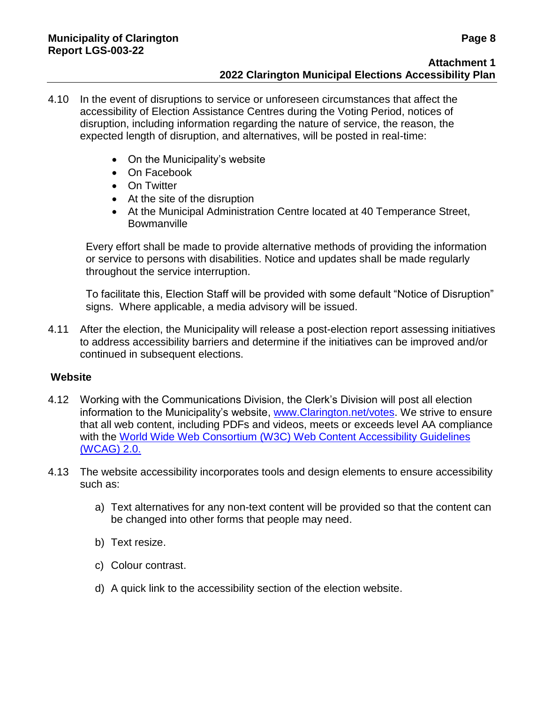- 4.10 In the event of disruptions to service or unforeseen circumstances that affect the accessibility of Election Assistance Centres during the Voting Period, notices of disruption, including information regarding the nature of service, the reason, the expected length of disruption, and alternatives, will be posted in real-time:
	- On the Municipality's website
	- On Facebook
	- On Twitter
	- At the site of the disruption
	- At the Municipal Administration Centre located at 40 Temperance Street, **Bowmanville**

Every effort shall be made to provide alternative methods of providing the information or service to persons with disabilities. Notice and updates shall be made regularly throughout the service interruption.

To facilitate this, Election Staff will be provided with some default "Notice of Disruption" signs. Where applicable, a media advisory will be issued.

4.11 After the election, the Municipality will release a post-election report assessing initiatives to address accessibility barriers and determine if the initiatives can be improved and/or continued in subsequent elections.

#### **Website**

- 4.12 Working with the Communications Division, the Clerk's Division will post all election information to the Municipality's website, [www.Clarington.net/votes.](http://www.clarington.net/votes) We strive to ensure that all web content, including PDFs and videos, meets or exceeds level AA compliance with the [World Wide Web Consortium \(W3C\) Web Content Accessibility](https://www.w3.org/TR/WCAG20/) Guidelines [\(WCAG\) 2.0.](https://www.w3.org/TR/WCAG20/)
- 4.13 The website accessibility incorporates tools and design elements to ensure accessibility such as:
	- a) Text alternatives for any non-text content will be provided so that the content can be changed into other forms that people may need.
	- b) Text resize.
	- c) Colour contrast.
	- d) A quick link to the accessibility section of the election website.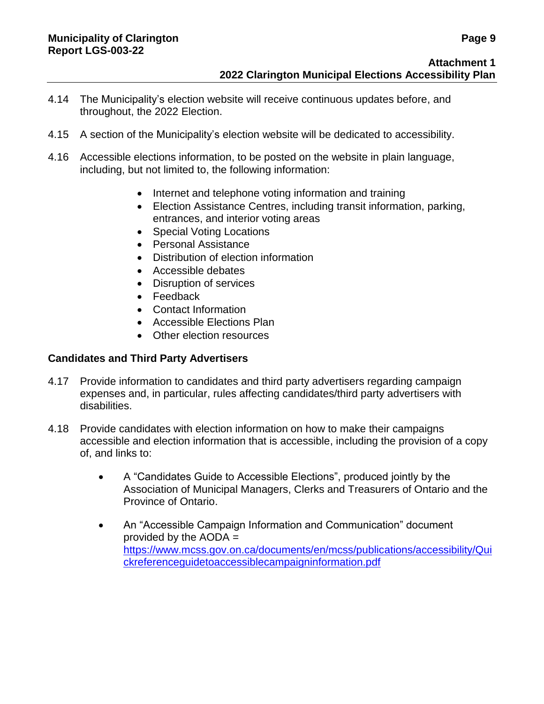- 4.14 The Municipality's election website will receive continuous updates before, and throughout, the 2022 Election.
- 4.15 A section of the Municipality's election website will be dedicated to accessibility.
- 4.16 Accessible elections information, to be posted on the website in plain language, including, but not limited to, the following information:
	- Internet and telephone voting information and training
	- Election Assistance Centres, including transit information, parking, entrances, and interior voting areas
	- Special Voting Locations
	- Personal Assistance
	- Distribution of election information
	- Accessible debates
	- Disruption of services
	- Feedback
	- Contact Information
	- Accessible Elections Plan
	- Other election resources

#### **Candidates and Third Party Advertisers**

- 4.17 Provide information to candidates and third party advertisers regarding campaign expenses and, in particular, rules affecting candidates/third party advertisers with disabilities.
- 4.18 Provide candidates with election information on how to make their campaigns accessible and election information that is accessible, including the provision of a copy of, and links to:
	- A "Candidates Guide to Accessible Elections", produced jointly by the Association of Municipal Managers, Clerks and Treasurers of Ontario and the Province of Ontario.
	- An "Accessible Campaign Information and Communication" document provided by the  $AODA =$ [https://www.mcss.gov.on.ca/documents/en/mcss/publications/accessibility/Qui](https://www.mcss.gov.on.ca/documents/en/mcss/publications/accessibility/Quickreferenceguidetoaccessiblecampaigninformation.pdf) [ckreferenceguidetoaccessiblecampaigninformation.pdf](https://www.mcss.gov.on.ca/documents/en/mcss/publications/accessibility/Quickreferenceguidetoaccessiblecampaigninformation.pdf)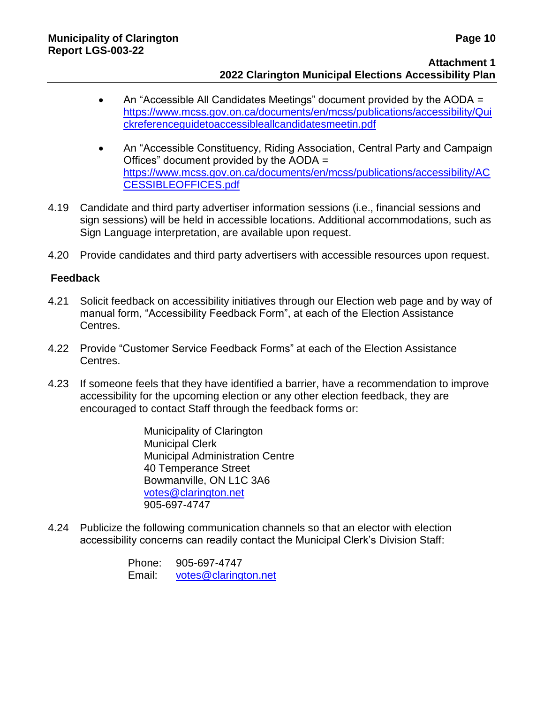#### **Attachment 1 2022 Clarington Municipal Elections Accessibility Plan**

- An "Accessible All Candidates Meetings" document provided by the AODA = [https://www.mcss.gov.on.ca/documents/en/mcss/publications/accessibility/Qui](https://www.mcss.gov.on.ca/documents/en/mcss/publications/accessibility/Quickreferenceguidetoaccessibleallcandidatesmeetin.pdf) [ckreferenceguidetoaccessibleallcandidatesmeetin.pdf](https://www.mcss.gov.on.ca/documents/en/mcss/publications/accessibility/Quickreferenceguidetoaccessibleallcandidatesmeetin.pdf)
- An "Accessible Constituency, Riding Association, Central Party and Campaign Offices" document provided by the AODA = [https://www.mcss.gov.on.ca/documents/en/mcss/publications/accessibility/AC](https://www.mcss.gov.on.ca/documents/en/mcss/publications/accessibility/ACCESSIBLEOFFICES.pdf) [CESSIBLEOFFICES.pdf](https://www.mcss.gov.on.ca/documents/en/mcss/publications/accessibility/ACCESSIBLEOFFICES.pdf)
- 4.19 Candidate and third party advertiser information sessions (i.e., financial sessions and sign sessions) will be held in accessible locations. Additional accommodations, such as Sign Language interpretation, are available upon request.
- 4.20 Provide candidates and third party advertisers with accessible resources upon request.

#### **Feedback**

- 4.21 Solicit feedback on accessibility initiatives through our Election web page and by way of manual form, "Accessibility Feedback Form", at each of the Election Assistance Centres.
- 4.22 Provide "Customer Service Feedback Forms" at each of the Election Assistance Centres.
- 4.23 If someone feels that they have identified a barrier, have a recommendation to improve accessibility for the upcoming election or any other election feedback, they are encouraged to contact Staff through the feedback forms or:

Municipality of Clarington Municipal Clerk Municipal Administration Centre 40 Temperance Street Bowmanville, ON L1C 3A6 [votes@clarington.net](mailto:votes@clarington.net) 905-697-4747

4.24 Publicize the following communication channels so that an elector with election accessibility concerns can readily contact the Municipal Clerk's Division Staff:

> Phone: 905-697-4747 Email: [votes@clarington.net](mailto:votes@clarington.net)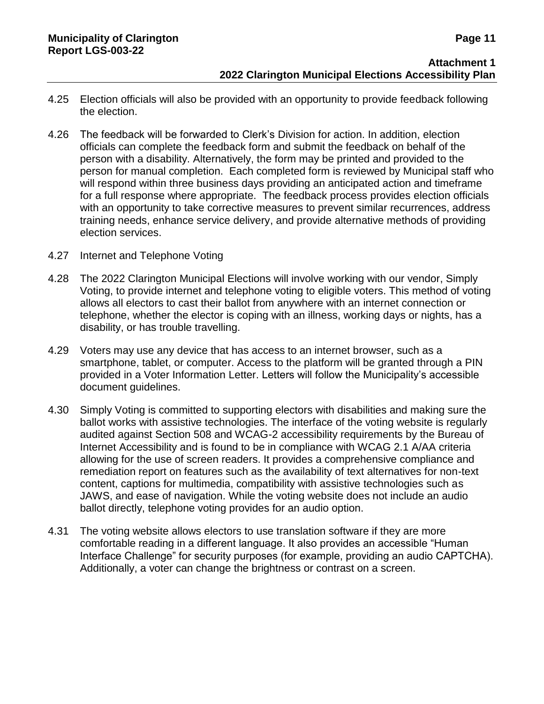- 4.25 Election officials will also be provided with an opportunity to provide feedback following the election.
- 4.26 The feedback will be forwarded to Clerk's Division for action. In addition, election officials can complete the feedback form and submit the feedback on behalf of the person with a disability. Alternatively, the form may be printed and provided to the person for manual completion. Each completed form is reviewed by Municipal staff who will respond within three business days providing an anticipated action and timeframe for a full response where appropriate. The feedback process provides election officials with an opportunity to take corrective measures to prevent similar recurrences, address training needs, enhance service delivery, and provide alternative methods of providing election services.
- 4.27 Internet and Telephone Voting
- 4.28 The 2022 Clarington Municipal Elections will involve working with our vendor, Simply Voting, to provide internet and telephone voting to eligible voters. This method of voting allows all electors to cast their ballot from anywhere with an internet connection or telephone, whether the elector is coping with an illness, working days or nights, has a disability, or has trouble travelling.
- 4.29 Voters may use any device that has access to an internet browser, such as a smartphone, tablet, or computer. Access to the platform will be granted through a PIN provided in a Voter Information Letter. Letters will follow the Municipality's accessible document guidelines.
- 4.30 Simply Voting is committed to supporting electors with disabilities and making sure the ballot works with assistive technologies. The interface of the voting website is regularly audited against Section 508 and WCAG-2 accessibility requirements by the Bureau of Internet Accessibility and is found to be in compliance with WCAG 2.1 A/AA criteria allowing for the use of screen readers. It provides a comprehensive compliance and remediation report on features such as the availability of text alternatives for non-text content, captions for multimedia, compatibility with assistive technologies such as JAWS, and ease of navigation. While the voting website does not include an audio ballot directly, telephone voting provides for an audio option.
- 4.31 The voting website allows electors to use translation software if they are more comfortable reading in a different language. It also provides an accessible "Human Interface Challenge" for security purposes (for example, providing an audio CAPTCHA). Additionally, a voter can change the brightness or contrast on a screen.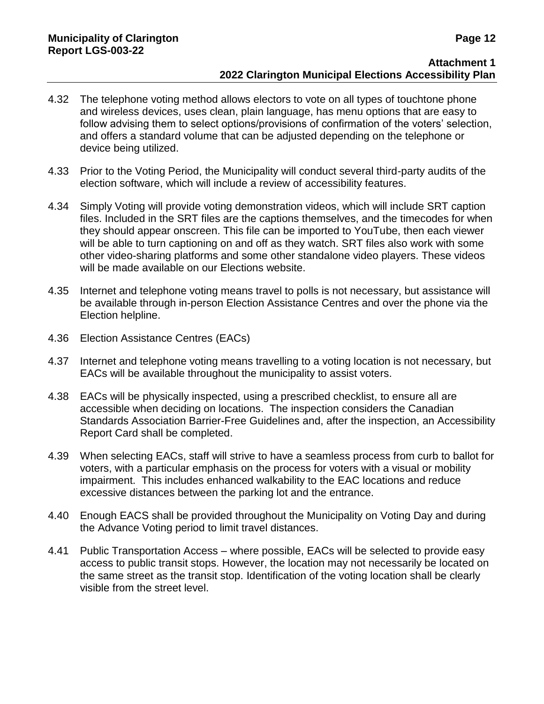#### **Attachment 1 2022 Clarington Municipal Elections Accessibility Plan**

- 4.32 The telephone voting method allows electors to vote on all types of touchtone phone and wireless devices, uses clean, plain language, has menu options that are easy to follow advising them to select options/provisions of confirmation of the voters' selection, and offers a standard volume that can be adjusted depending on the telephone or device being utilized.
- 4.33 Prior to the Voting Period, the Municipality will conduct several third-party audits of the election software, which will include a review of accessibility features.
- 4.34 Simply Voting will provide voting demonstration videos, which will include SRT caption files. Included in the SRT files are the captions themselves, and the timecodes for when they should appear onscreen. This file can be imported to YouTube, then each viewer will be able to turn captioning on and off as they watch. SRT files also work with some other video-sharing platforms and some other standalone video players. These videos will be made available on our Elections website.
- 4.35 Internet and telephone voting means travel to polls is not necessary, but assistance will be available through in-person Election Assistance Centres and over the phone via the Election helpline.
- 4.36 Election Assistance Centres (EACs)
- 4.37 Internet and telephone voting means travelling to a voting location is not necessary, but EACs will be available throughout the municipality to assist voters.
- 4.38 EACs will be physically inspected, using a prescribed checklist, to ensure all are accessible when deciding on locations. The inspection considers the Canadian Standards Association Barrier-Free Guidelines and, after the inspection, an Accessibility Report Card shall be completed.
- 4.39 When selecting EACs, staff will strive to have a seamless process from curb to ballot for voters, with a particular emphasis on the process for voters with a visual or mobility impairment. This includes enhanced walkability to the EAC locations and reduce excessive distances between the parking lot and the entrance.
- 4.40 Enough EACS shall be provided throughout the Municipality on Voting Day and during the Advance Voting period to limit travel distances.
- 4.41 Public Transportation Access where possible, EACs will be selected to provide easy access to public transit stops. However, the location may not necessarily be located on the same street as the transit stop. Identification of the voting location shall be clearly visible from the street level.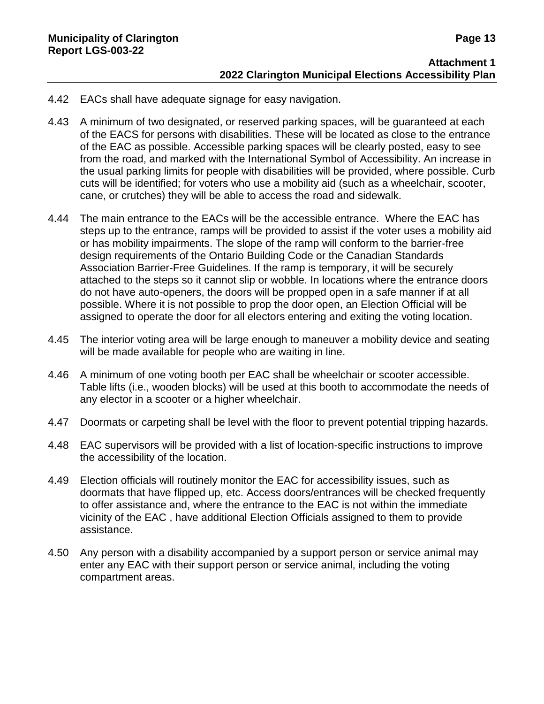- 4.42 EACs shall have adequate signage for easy navigation.
- 4.43 A minimum of two designated, or reserved parking spaces, will be guaranteed at each of the EACS for persons with disabilities. These will be located as close to the entrance of the EAC as possible. Accessible parking spaces will be clearly posted, easy to see from the road, and marked with the International Symbol of Accessibility. An increase in the usual parking limits for people with disabilities will be provided, where possible. Curb cuts will be identified; for voters who use a mobility aid (such as a wheelchair, scooter, cane, or crutches) they will be able to access the road and sidewalk.
- 4.44 The main entrance to the EACs will be the accessible entrance. Where the EAC has steps up to the entrance, ramps will be provided to assist if the voter uses a mobility aid or has mobility impairments. The slope of the ramp will conform to the barrier-free design requirements of the Ontario Building Code or the Canadian Standards Association Barrier-Free Guidelines. If the ramp is temporary, it will be securely attached to the steps so it cannot slip or wobble. In locations where the entrance doors do not have auto-openers, the doors will be propped open in a safe manner if at all possible. Where it is not possible to prop the door open, an Election Official will be assigned to operate the door for all electors entering and exiting the voting location.
- 4.45 The interior voting area will be large enough to maneuver a mobility device and seating will be made available for people who are waiting in line.
- 4.46 A minimum of one voting booth per EAC shall be wheelchair or scooter accessible. Table lifts (i.e., wooden blocks) will be used at this booth to accommodate the needs of any elector in a scooter or a higher wheelchair.
- 4.47 Doormats or carpeting shall be level with the floor to prevent potential tripping hazards.
- 4.48 EAC supervisors will be provided with a list of location-specific instructions to improve the accessibility of the location.
- 4.49 Election officials will routinely monitor the EAC for accessibility issues, such as doormats that have flipped up, etc. Access doors/entrances will be checked frequently to offer assistance and, where the entrance to the EAC is not within the immediate vicinity of the EAC , have additional Election Officials assigned to them to provide assistance.
- 4.50 Any person with a disability accompanied by a support person or service animal may enter any EAC with their support person or service animal, including the voting compartment areas.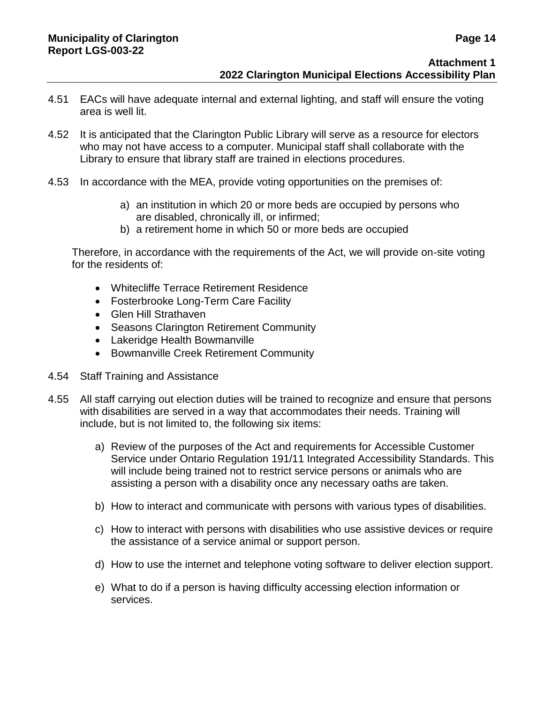- 4.51 EACs will have adequate internal and external lighting, and staff will ensure the voting area is well lit.
- 4.52 It is anticipated that the Clarington Public Library will serve as a resource for electors who may not have access to a computer. Municipal staff shall collaborate with the Library to ensure that library staff are trained in elections procedures.
- 4.53 In accordance with the MEA, provide voting opportunities on the premises of:
	- a) an institution in which 20 or more beds are occupied by persons who are disabled, chronically ill, or infirmed;
	- b) a retirement home in which 50 or more beds are occupied

Therefore, in accordance with the requirements of the Act, we will provide on-site voting for the residents of:

- Whitecliffe Terrace Retirement Residence
- Fosterbrooke Long-Term Care Facility
- Glen Hill Strathaven
- Seasons Clarington Retirement Community
- Lakeridge Health Bowmanville
- **Bowmanville Creek Retirement Community**
- 4.54 Staff Training and Assistance
- 4.55 All staff carrying out election duties will be trained to recognize and ensure that persons with disabilities are served in a way that accommodates their needs. Training will include, but is not limited to, the following six items:
	- a) Review of the purposes of the Act and requirements for Accessible Customer Service under Ontario Regulation 191/11 Integrated Accessibility Standards. This will include being trained not to restrict service persons or animals who are assisting a person with a disability once any necessary oaths are taken.
	- b) How to interact and communicate with persons with various types of disabilities.
	- c) How to interact with persons with disabilities who use assistive devices or require the assistance of a service animal or support person.
	- d) How to use the internet and telephone voting software to deliver election support.
	- e) What to do if a person is having difficulty accessing election information or services.